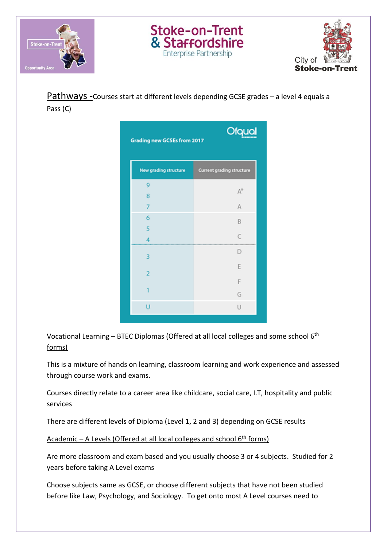



Pathways -Courses start at different levels depending GCSE grades – a level 4 equals a Pass (C)

Stoke-on-Trent<br>& Staffordshire

**Enterprise Partnership** 

| <b>Ofqual</b><br><b>Grading new GCSEs from 2017</b> |                           |
|-----------------------------------------------------|---------------------------|
| <b>New grading structure</b>                        | Current grading structure |
| 9                                                   |                           |
| 8                                                   | A                         |
| $\overline{7}$                                      | A                         |
| 6                                                   | B                         |
| 5                                                   |                           |
| 4                                                   | $\epsilon$                |
| 3                                                   | D                         |
| $\overline{a}$                                      | E                         |
|                                                     | F                         |
| 1                                                   | G                         |
| U                                                   | U                         |

Vocational Learning – BTEC Diplomas (Offered at all local colleges and some school 6th forms)

This is a mixture of hands on learning, classroom learning and work experience and assessed through course work and exams.

Courses directly relate to a career area like childcare, social care, I.T, hospitality and public services

There are different levels of Diploma (Level 1, 2 and 3) depending on GCSE results

Academic – A Levels (Offered at all local colleges and school  $6<sup>th</sup>$  forms)

Are more classroom and exam based and you usually choose 3 or 4 subjects. Studied for 2 years before taking A Level exams

Choose subjects same as GCSE, or choose different subjects that have not been studied before like Law, Psychology, and Sociology. To get onto most A Level courses need to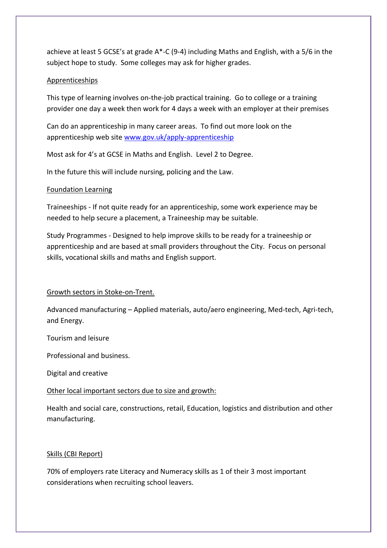achieve at least 5 GCSE's at grade A\*-C (9-4) including Maths and English, with a 5/6 in the subject hope to study. Some colleges may ask for higher grades.

## Apprenticeships

This type of learning involves on-the-job practical training. Go to college or a training provider one day a week then work for 4 days a week with an employer at their premises

Can do an apprenticeship in many career areas. To find out more look on the apprenticeship web site [www.gov.uk/apply-apprenticeship](http://www.gov.uk/apply-apprenticeship)

Most ask for 4's at GCSE in Maths and English. Level 2 to Degree.

In the future this will include nursing, policing and the Law.

# Foundation Learning

Traineeships - If not quite ready for an apprenticeship, some work experience may be needed to help secure a placement, a Traineeship may be suitable.

Study Programmes - Designed to help improve skills to be ready for a traineeship or apprenticeship and are based at small providers throughout the City. Focus on personal skills, vocational skills and maths and English support.

# Growth sectors in Stoke-on-Trent.

Advanced manufacturing – Applied materials, auto/aero engineering, Med-tech, Agri-tech, and Energy.

Tourism and leisure

Professional and business.

Digital and creative

# Other local important sectors due to size and growth:

Health and social care, constructions, retail, Education, logistics and distribution and other manufacturing.

# Skills (CBI Report)

70% of employers rate Literacy and Numeracy skills as 1 of their 3 most important considerations when recruiting school leavers.